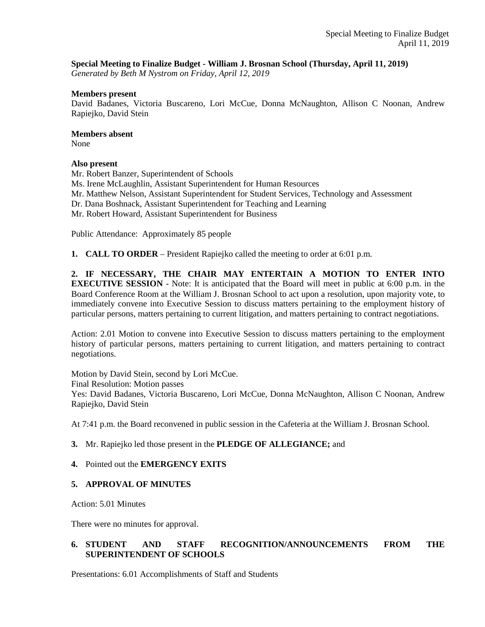### **Special Meeting to Finalize Budget - William J. Brosnan School (Thursday, April 11, 2019)**

*Generated by Beth M Nystrom on Friday, April 12, 2019*

#### **Members present**

David Badanes, Victoria Buscareno, Lori McCue, Donna McNaughton, Allison C Noonan, Andrew Rapiejko, David Stein

#### **Members absent**

None

### **Also present**

Mr. Robert Banzer, Superintendent of Schools Ms. Irene McLaughlin, Assistant Superintendent for Human Resources Mr. Matthew Nelson, Assistant Superintendent for Student Services, Technology and Assessment Dr. Dana Boshnack, Assistant Superintendent for Teaching and Learning Mr. Robert Howard, Assistant Superintendent for Business

Public Attendance: Approximately 85 people

**1. CALL TO ORDER** – President Rapiejko called the meeting to order at 6:01 p.m.

**2. IF NECESSARY, THE CHAIR MAY ENTERTAIN A MOTION TO ENTER INTO EXECUTIVE SESSION** - Note: It is anticipated that the Board will meet in public at 6:00 p.m. in the Board Conference Room at the William J. Brosnan School to act upon a resolution, upon majority vote, to immediately convene into Executive Session to discuss matters pertaining to the employment history of particular persons, matters pertaining to current litigation, and matters pertaining to contract negotiations.

Action: 2.01 Motion to convene into Executive Session to discuss matters pertaining to the employment history of particular persons, matters pertaining to current litigation, and matters pertaining to contract negotiations.

Motion by David Stein, second by Lori McCue. Final Resolution: Motion passes Yes: David Badanes, Victoria Buscareno, Lori McCue, Donna McNaughton, Allison C Noonan, Andrew Rapiejko, David Stein

At 7:41 p.m. the Board reconvened in public session in the Cafeteria at the William J. Brosnan School.

### **3.** Mr. Rapiejko led those present in the **PLEDGE OF ALLEGIANCE;** and

### **4.** Pointed out the **EMERGENCY EXITS**

### **5. APPROVAL OF MINUTES**

Action: 5.01 Minutes

There were no minutes for approval.

# **6. STUDENT AND STAFF RECOGNITION/ANNOUNCEMENTS FROM THE SUPERINTENDENT OF SCHOOLS**

Presentations: 6.01 Accomplishments of Staff and Students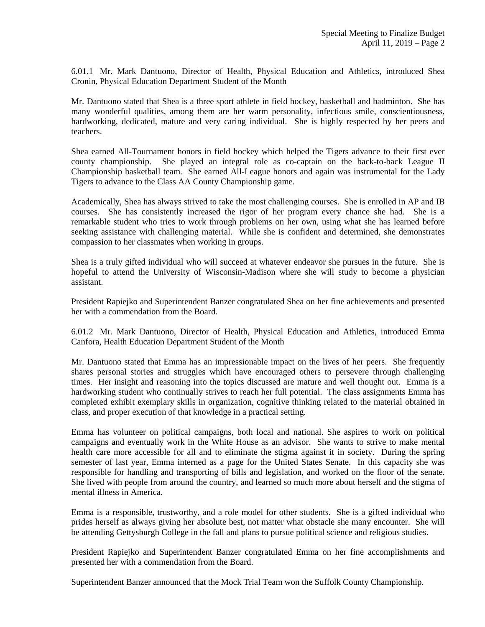6.01.1 Mr. Mark Dantuono, Director of Health, Physical Education and Athletics, introduced Shea Cronin, Physical Education Department Student of the Month

Mr. Dantuono stated that Shea is a three sport athlete in field hockey, basketball and badminton. She has many wonderful qualities, among them are her warm personality, infectious smile, conscientiousness, hardworking, dedicated, mature and very caring individual. She is highly respected by her peers and teachers.

Shea earned All-Tournament honors in field hockey which helped the Tigers advance to their first ever county championship. She played an integral role as co-captain on the back-to-back League II Championship basketball team. She earned All-League honors and again was instrumental for the Lady Tigers to advance to the Class AA County Championship game.

Academically, Shea has always strived to take the most challenging courses. She is enrolled in AP and IB courses. She has consistently increased the rigor of her program every chance she had. She is a remarkable student who tries to work through problems on her own, using what she has learned before seeking assistance with challenging material. While she is confident and determined, she demonstrates compassion to her classmates when working in groups.

Shea is a truly gifted individual who will succeed at whatever endeavor she pursues in the future. She is hopeful to attend the University of Wisconsin-Madison where she will study to become a physician assistant.

President Rapiejko and Superintendent Banzer congratulated Shea on her fine achievements and presented her with a commendation from the Board.

6.01.2 Mr. Mark Dantuono, Director of Health, Physical Education and Athletics, introduced Emma Canfora, Health Education Department Student of the Month

Mr. Dantuono stated that Emma has an impressionable impact on the lives of her peers. She frequently shares personal stories and struggles which have encouraged others to persevere through challenging times. Her insight and reasoning into the topics discussed are mature and well thought out. Emma is a hardworking student who continually strives to reach her full potential. The class assignments Emma has completed exhibit exemplary skills in organization, cognitive thinking related to the material obtained in class, and proper execution of that knowledge in a practical setting.

Emma has volunteer on political campaigns, both local and national. She aspires to work on political campaigns and eventually work in the White House as an advisor. She wants to strive to make mental health care more accessible for all and to eliminate the stigma against it in society. During the spring semester of last year, Emma interned as a page for the United States Senate. In this capacity she was responsible for handling and transporting of bills and legislation, and worked on the floor of the senate. She lived with people from around the country, and learned so much more about herself and the stigma of mental illness in America.

Emma is a responsible, trustworthy, and a role model for other students. She is a gifted individual who prides herself as always giving her absolute best, not matter what obstacle she many encounter. She will be attending Gettysburgh College in the fall and plans to pursue political science and religious studies.

President Rapiejko and Superintendent Banzer congratulated Emma on her fine accomplishments and presented her with a commendation from the Board.

Superintendent Banzer announced that the Mock Trial Team won the Suffolk County Championship.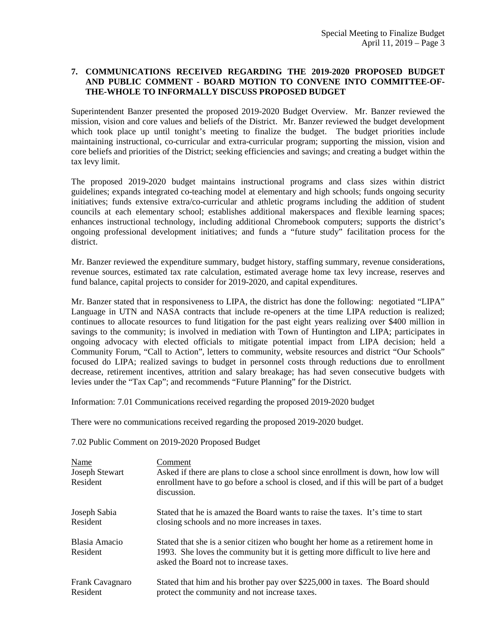## **7. COMMUNICATIONS RECEIVED REGARDING THE 2019-2020 PROPOSED BUDGET AND PUBLIC COMMENT - BOARD MOTION TO CONVENE INTO COMMITTEE-OF-THE-WHOLE TO INFORMALLY DISCUSS PROPOSED BUDGET**

Superintendent Banzer presented the proposed 2019-2020 Budget Overview. Mr. Banzer reviewed the mission, vision and core values and beliefs of the District. Mr. Banzer reviewed the budget development which took place up until tonight's meeting to finalize the budget. The budget priorities include maintaining instructional, co-curricular and extra-curricular program; supporting the mission, vision and core beliefs and priorities of the District; seeking efficiencies and savings; and creating a budget within the tax levy limit.

The proposed 2019-2020 budget maintains instructional programs and class sizes within district guidelines; expands integrated co-teaching model at elementary and high schools; funds ongoing security initiatives; funds extensive extra/co-curricular and athletic programs including the addition of student councils at each elementary school; establishes additional makerspaces and flexible learning spaces; enhances instructional technology, including additional Chromebook computers; supports the district's ongoing professional development initiatives; and funds a "future study" facilitation process for the district.

Mr. Banzer reviewed the expenditure summary, budget history, staffing summary, revenue considerations, revenue sources, estimated tax rate calculation, estimated average home tax levy increase, reserves and fund balance, capital projects to consider for 2019-2020, and capital expenditures.

Mr. Banzer stated that in responsiveness to LIPA, the district has done the following: negotiated "LIPA" Language in UTN and NASA contracts that include re-openers at the time LIPA reduction is realized; continues to allocate resources to fund litigation for the past eight years realizing over \$400 million in savings to the community; is involved in mediation with Town of Huntington and LIPA; participates in ongoing advocacy with elected officials to mitigate potential impact from LIPA decision; held a Community Forum, "Call to Action", letters to community, website resources and district "Our Schools" focused do LIPA; realized savings to budget in personnel costs through reductions due to enrollment decrease, retirement incentives, attrition and salary breakage; has had seven consecutive budgets with levies under the "Tax Cap"; and recommends "Future Planning" for the District.

Information: 7.01 Communications received regarding the proposed 2019-2020 budget

There were no communications received regarding the proposed 2019-2020 budget.

7.02 Public Comment on 2019-2020 Proposed Budget

| Name<br><b>Joseph Stewart</b><br>Resident | Comment<br>Asked if there are plans to close a school since enrollment is down, how low will<br>enrollment have to go before a school is closed, and if this will be part of a budget<br>discussion.         |
|-------------------------------------------|--------------------------------------------------------------------------------------------------------------------------------------------------------------------------------------------------------------|
| Joseph Sabia                              | Stated that he is amazed the Board wants to raise the taxes. It's time to start                                                                                                                              |
| Resident                                  | closing schools and no more increases in taxes.                                                                                                                                                              |
| Blasia Amacio<br>Resident                 | Stated that she is a senior citizen who bought her home as a retirement home in<br>1993. She loves the community but it is getting more difficult to live here and<br>asked the Board not to increase taxes. |
| Frank Cavagnaro                           | Stated that him and his brother pay over \$225,000 in taxes. The Board should                                                                                                                                |
| Resident                                  | protect the community and not increase taxes.                                                                                                                                                                |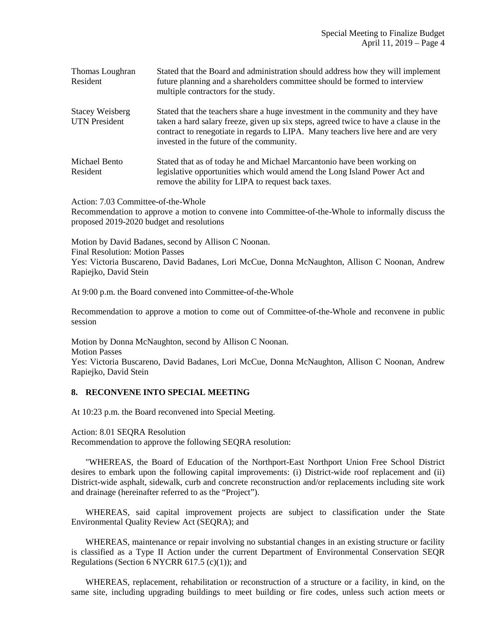| Thomas Loughran<br>Resident                    | Stated that the Board and administration should address how they will implement<br>future planning and a shareholders committee should be formed to interview<br>multiple contractors for the study.                                                                                                    |
|------------------------------------------------|---------------------------------------------------------------------------------------------------------------------------------------------------------------------------------------------------------------------------------------------------------------------------------------------------------|
| <b>Stacey Weisberg</b><br><b>UTN</b> President | Stated that the teachers share a huge investment in the community and they have<br>taken a hard salary freeze, given up six steps, agreed twice to have a clause in the<br>contract to renegotiate in regards to LIPA. Many teachers live here and are very<br>invested in the future of the community. |
| Michael Bento<br>Resident                      | Stated that as of today he and Michael Marcantonio have been working on<br>legislative opportunities which would amend the Long Island Power Act and<br>remove the ability for LIPA to request back taxes.                                                                                              |

Action: 7.03 Committee-of-the-Whole

Recommendation to approve a motion to convene into Committee-of-the-Whole to informally discuss the proposed 2019-2020 budget and resolutions

Motion by David Badanes, second by Allison C Noonan. Final Resolution: Motion Passes Yes: Victoria Buscareno, David Badanes, Lori McCue, Donna McNaughton, Allison C Noonan, Andrew Rapiejko, David Stein

At 9:00 p.m. the Board convened into Committee-of-the-Whole

Recommendation to approve a motion to come out of Committee-of-the-Whole and reconvene in public session

Motion by Donna McNaughton, second by Allison C Noonan. Motion Passes Yes: Victoria Buscareno, David Badanes, Lori McCue, Donna McNaughton, Allison C Noonan, Andrew Rapiejko, David Stein

### **8. RECONVENE INTO SPECIAL MEETING**

At 10:23 p.m. the Board reconvened into Special Meeting.

Action: 8.01 SEQRA Resolution

Recommendation to approve the following SEQRA resolution:

 "WHEREAS, the Board of Education of the Northport-East Northport Union Free School District desires to embark upon the following capital improvements: (i) District-wide roof replacement and (ii) District-wide asphalt, sidewalk, curb and concrete reconstruction and/or replacements including site work and drainage (hereinafter referred to as the "Project").

WHEREAS, said capital improvement projects are subject to classification under the State Environmental Quality Review Act (SEQRA); and

 WHEREAS, maintenance or repair involving no substantial changes in an existing structure or facility is classified as a Type II Action under the current Department of Environmental Conservation SEQR Regulations (Section 6 NYCRR 617.5  $(c)(1)$ ); and

 WHEREAS, replacement, rehabilitation or reconstruction of a structure or a facility, in kind, on the same site, including upgrading buildings to meet building or fire codes, unless such action meets or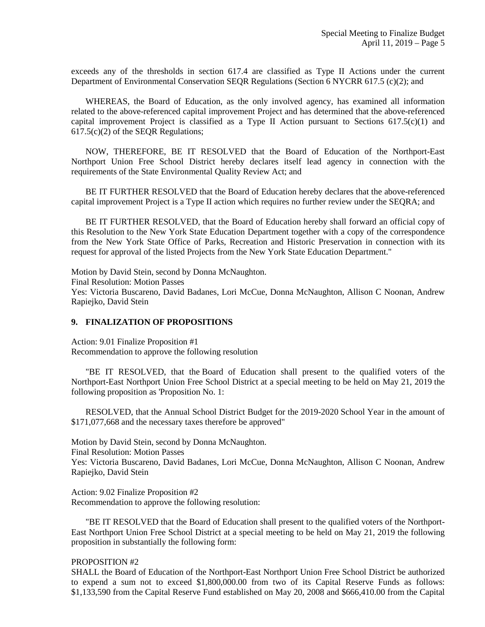exceeds any of the thresholds in section 617.4 are classified as Type II Actions under the current Department of Environmental Conservation SEQR Regulations (Section 6 NYCRR 617.5 (c)(2); and

 WHEREAS, the Board of Education, as the only involved agency, has examined all information related to the above-referenced capital improvement Project and has determined that the above-referenced capital improvement Project is classified as a Type II Action pursuant to Sections 617.5(c)(1) and 617.5(c)(2) of the SEQR Regulations;

 NOW, THEREFORE, BE IT RESOLVED that the Board of Education of the Northport-East Northport Union Free School District hereby declares itself lead agency in connection with the requirements of the State Environmental Quality Review Act; and

 BE IT FURTHER RESOLVED that the Board of Education hereby declares that the above-referenced capital improvement Project is a Type II action which requires no further review under the SEQRA; and

 BE IT FURTHER RESOLVED, that the Board of Education hereby shall forward an official copy of this Resolution to the New York State Education Department together with a copy of the correspondence from the New York State Office of Parks, Recreation and Historic Preservation in connection with its request for approval of the listed Projects from the New York State Education Department."

Motion by David Stein, second by Donna McNaughton. Final Resolution: Motion Passes Yes: Victoria Buscareno, David Badanes, Lori McCue, Donna McNaughton, Allison C Noonan, Andrew Rapiejko, David Stein

### **9. FINALIZATION OF PROPOSITIONS**

Action: 9.01 Finalize Proposition #1 Recommendation to approve the following resolution

 "BE IT RESOLVED, that the Board of Education shall present to the qualified voters of the Northport-East Northport Union Free School District at a special meeting to be held on May 21, 2019 the following proposition as 'Proposition No. 1:

 RESOLVED, that the Annual School District Budget for the 2019-2020 School Year in the amount of \$171,077,668 and the necessary taxes therefore be approved"

Motion by David Stein, second by Donna McNaughton.

Final Resolution: Motion Passes

Yes: Victoria Buscareno, David Badanes, Lori McCue, Donna McNaughton, Allison C Noonan, Andrew Rapiejko, David Stein

Action: 9.02 Finalize Proposition #2 Recommendation to approve the following resolution:

 "BE IT RESOLVED that the Board of Education shall present to the qualified voters of the Northport-East Northport Union Free School District at a special meeting to be held on May 21, 2019 the following proposition in substantially the following form:

### PROPOSITION #2

SHALL the Board of Education of the Northport-East Northport Union Free School District be authorized to expend a sum not to exceed \$1,800,000.00 from two of its Capital Reserve Funds as follows: \$1,133,590 from the Capital Reserve Fund established on May 20, 2008 and \$666,410.00 from the Capital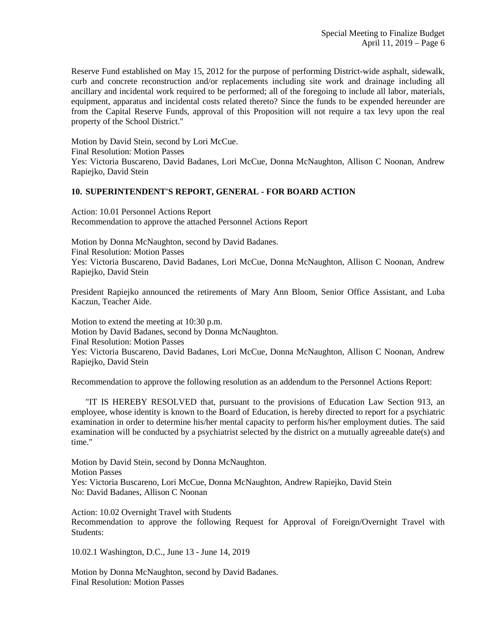Reserve Fund established on May 15, 2012 for the purpose of performing District-wide asphalt, sidewalk, curb and concrete reconstruction and/or replacements including site work and drainage including all ancillary and incidental work required to be performed; all of the foregoing to include all labor, materials, equipment, apparatus and incidental costs related thereto? Since the funds to be expended hereunder are from the Capital Reserve Funds, approval of this Proposition will not require a tax levy upon the real property of the School District."

Motion by David Stein, second by Lori McCue. Final Resolution: Motion Passes Yes: Victoria Buscareno, David Badanes, Lori McCue, Donna McNaughton, Allison C Noonan, Andrew Rapiejko, David Stein

### **10. SUPERINTENDENT'S REPORT, GENERAL - FOR BOARD ACTION**

Action: 10.01 Personnel Actions Report Recommendation to approve the attached Personnel Actions Report

Motion by Donna McNaughton, second by David Badanes. Final Resolution: Motion Passes Yes: Victoria Buscareno, David Badanes, Lori McCue, Donna McNaughton, Allison C Noonan, Andrew Rapiejko, David Stein

President Rapiejko announced the retirements of Mary Ann Bloom, Senior Office Assistant, and Luba Kaczun, Teacher Aide.

Motion to extend the meeting at 10:30 p.m. Motion by David Badanes, second by Donna McNaughton. Final Resolution: Motion Passes Yes: Victoria Buscareno, David Badanes, Lori McCue, Donna McNaughton, Allison C Noonan, Andrew Rapiejko, David Stein

Recommendation to approve the following resolution as an addendum to the Personnel Actions Report:

 "IT IS HEREBY RESOLVED that, pursuant to the provisions of Education Law Section 913, an employee, whose identity is known to the Board of Education, is hereby directed to report for a psychiatric examination in order to determine his/her mental capacity to perform his/her employment duties. The said examination will be conducted by a psychiatrist selected by the district on a mutually agreeable date(s) and time."

Motion by David Stein, second by Donna McNaughton. Motion Passes Yes: Victoria Buscareno, Lori McCue, Donna McNaughton, Andrew Rapiejko, David Stein No: David Badanes, Allison C Noonan

Action: 10.02 Overnight Travel with Students Recommendation to approve the following Request for Approval of Foreign/Overnight Travel with Students:

10.02.1 Washington, D.C., June 13 - June 14, 2019

Motion by Donna McNaughton, second by David Badanes. Final Resolution: Motion Passes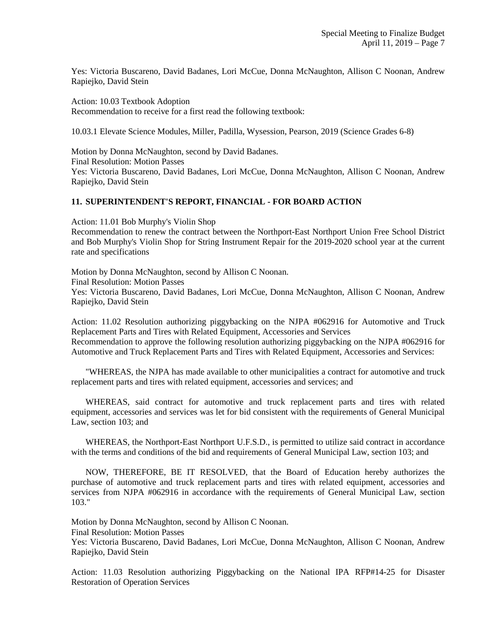Yes: Victoria Buscareno, David Badanes, Lori McCue, Donna McNaughton, Allison C Noonan, Andrew Rapiejko, David Stein

Action: 10.03 Textbook Adoption Recommendation to receive for a first read the following textbook:

10.03.1 Elevate Science Modules, Miller, Padilla, Wysession, Pearson, 2019 (Science Grades 6-8)

Motion by Donna McNaughton, second by David Badanes. Final Resolution: Motion Passes Yes: Victoria Buscareno, David Badanes, Lori McCue, Donna McNaughton, Allison C Noonan, Andrew Rapiejko, David Stein

## **11. SUPERINTENDENT'S REPORT, FINANCIAL - FOR BOARD ACTION**

Action: 11.01 Bob Murphy's Violin Shop

Recommendation to renew the contract between the Northport-East Northport Union Free School District and Bob Murphy's Violin Shop for String Instrument Repair for the 2019-2020 school year at the current rate and specifications

Motion by Donna McNaughton, second by Allison C Noonan. Final Resolution: Motion Passes Yes: Victoria Buscareno, David Badanes, Lori McCue, Donna McNaughton, Allison C Noonan, Andrew Rapiejko, David Stein

Action: 11.02 Resolution authorizing piggybacking on the NJPA #062916 for Automotive and Truck Replacement Parts and Tires with Related Equipment, Accessories and Services Recommendation to approve the following resolution authorizing piggybacking on the NJPA #062916 for Automotive and Truck Replacement Parts and Tires with Related Equipment, Accessories and Services:

 "WHEREAS, the NJPA has made available to other municipalities a contract for automotive and truck replacement parts and tires with related equipment, accessories and services; and

 WHEREAS, said contract for automotive and truck replacement parts and tires with related equipment, accessories and services was let for bid consistent with the requirements of General Municipal Law, section 103; and

 WHEREAS, the Northport-East Northport U.F.S.D., is permitted to utilize said contract in accordance with the terms and conditions of the bid and requirements of General Municipal Law, section 103; and

 NOW, THEREFORE, BE IT RESOLVED, that the Board of Education hereby authorizes the purchase of automotive and truck replacement parts and tires with related equipment, accessories and services from NJPA #062916 in accordance with the requirements of General Municipal Law, section 103."

Motion by Donna McNaughton, second by Allison C Noonan.

Final Resolution: Motion Passes

Yes: Victoria Buscareno, David Badanes, Lori McCue, Donna McNaughton, Allison C Noonan, Andrew Rapiejko, David Stein

Action: 11.03 Resolution authorizing Piggybacking on the National IPA RFP#14-25 for Disaster Restoration of Operation Services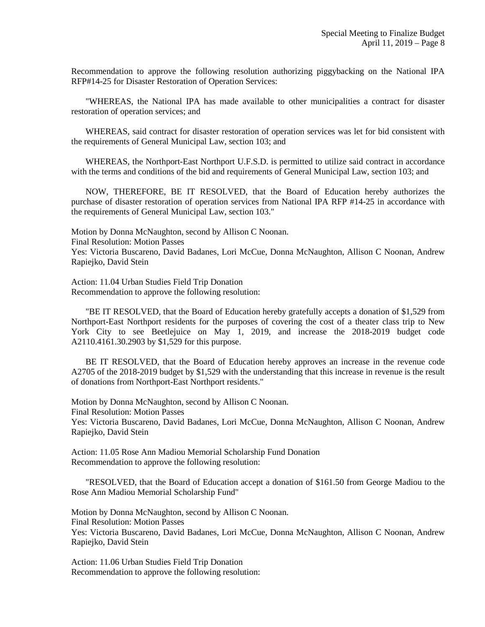Recommendation to approve the following resolution authorizing piggybacking on the National IPA RFP#14-25 for Disaster Restoration of Operation Services:

 "WHEREAS, the National IPA has made available to other municipalities a contract for disaster restoration of operation services; and

 WHEREAS, said contract for disaster restoration of operation services was let for bid consistent with the requirements of General Municipal Law, section 103; and

 WHEREAS, the Northport-East Northport U.F.S.D. is permitted to utilize said contract in accordance with the terms and conditions of the bid and requirements of General Municipal Law, section 103; and

 NOW, THEREFORE, BE IT RESOLVED, that the Board of Education hereby authorizes the purchase of disaster restoration of operation services from National IPA RFP #14-25 in accordance with the requirements of General Municipal Law, section 103."

Motion by Donna McNaughton, second by Allison C Noonan. Final Resolution: Motion Passes Yes: Victoria Buscareno, David Badanes, Lori McCue, Donna McNaughton, Allison C Noonan, Andrew Rapiejko, David Stein

Action: 11.04 Urban Studies Field Trip Donation Recommendation to approve the following resolution:

 "BE IT RESOLVED, that the Board of Education hereby gratefully accepts a donation of \$1,529 from Northport-East Northport residents for the purposes of covering the cost of a theater class trip to New York City to see Beetlejuice on May 1, 2019, and increase the 2018-2019 budget code A2110.4161.30.2903 by \$1,529 for this purpose.

 BE IT RESOLVED, that the Board of Education hereby approves an increase in the revenue code A2705 of the 2018-2019 budget by \$1,529 with the understanding that this increase in revenue is the result of donations from Northport-East Northport residents."

Motion by Donna McNaughton, second by Allison C Noonan. Final Resolution: Motion Passes Yes: Victoria Buscareno, David Badanes, Lori McCue, Donna McNaughton, Allison C Noonan, Andrew Rapiejko, David Stein

Action: 11.05 Rose Ann Madiou Memorial Scholarship Fund Donation Recommendation to approve the following resolution:

 "RESOLVED, that the Board of Education accept a donation of \$161.50 from George Madiou to the Rose Ann Madiou Memorial Scholarship Fund"

Motion by Donna McNaughton, second by Allison C Noonan. Final Resolution: Motion Passes Yes: Victoria Buscareno, David Badanes, Lori McCue, Donna McNaughton, Allison C Noonan, Andrew Rapiejko, David Stein

Action: 11.06 Urban Studies Field Trip Donation Recommendation to approve the following resolution: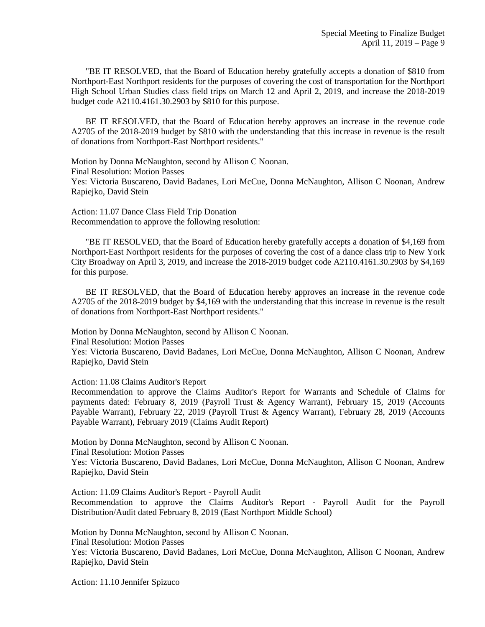"BE IT RESOLVED, that the Board of Education hereby gratefully accepts a donation of \$810 from Northport-East Northport residents for the purposes of covering the cost of transportation for the Northport High School Urban Studies class field trips on March 12 and April 2, 2019, and increase the 2018-2019 budget code A2110.4161.30.2903 by \$810 for this purpose.

 BE IT RESOLVED, that the Board of Education hereby approves an increase in the revenue code A2705 of the 2018-2019 budget by \$810 with the understanding that this increase in revenue is the result of donations from Northport-East Northport residents."

Motion by Donna McNaughton, second by Allison C Noonan. Final Resolution: Motion Passes Yes: Victoria Buscareno, David Badanes, Lori McCue, Donna McNaughton, Allison C Noonan, Andrew Rapiejko, David Stein

Action: 11.07 Dance Class Field Trip Donation Recommendation to approve the following resolution:

 "BE IT RESOLVED, that the Board of Education hereby gratefully accepts a donation of \$4,169 from Northport-East Northport residents for the purposes of covering the cost of a dance class trip to New York City Broadway on April 3, 2019, and increase the 2018-2019 budget code A2110.4161.30.2903 by \$4,169 for this purpose.

 BE IT RESOLVED, that the Board of Education hereby approves an increase in the revenue code A2705 of the 2018-2019 budget by \$4,169 with the understanding that this increase in revenue is the result of donations from Northport-East Northport residents."

Motion by Donna McNaughton, second by Allison C Noonan.

Final Resolution: Motion Passes

Yes: Victoria Buscareno, David Badanes, Lori McCue, Donna McNaughton, Allison C Noonan, Andrew Rapiejko, David Stein

Action: 11.08 Claims Auditor's Report

Recommendation to approve the Claims Auditor's Report for Warrants and Schedule of Claims for payments dated: February 8, 2019 (Payroll Trust & Agency Warrant), February 15, 2019 (Accounts Payable Warrant), February 22, 2019 (Payroll Trust & Agency Warrant), February 28, 2019 (Accounts Payable Warrant), February 2019 (Claims Audit Report)

Motion by Donna McNaughton, second by Allison C Noonan. Final Resolution: Motion Passes

Yes: Victoria Buscareno, David Badanes, Lori McCue, Donna McNaughton, Allison C Noonan, Andrew Rapiejko, David Stein

Action: 11.09 Claims Auditor's Report - Payroll Audit Recommendation to approve the Claims Auditor's Report - Payroll Audit for the Payroll Distribution/Audit dated February 8, 2019 (East Northport Middle School)

Motion by Donna McNaughton, second by Allison C Noonan. Final Resolution: Motion Passes Yes: Victoria Buscareno, David Badanes, Lori McCue, Donna McNaughton, Allison C Noonan, Andrew Rapiejko, David Stein

Action: 11.10 Jennifer Spizuco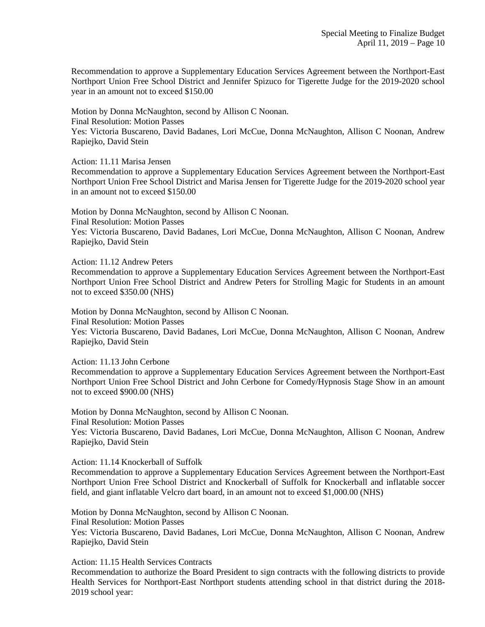Recommendation to approve a Supplementary Education Services Agreement between the Northport-East Northport Union Free School District and Jennifer Spizuco for Tigerette Judge for the 2019-2020 school year in an amount not to exceed \$150.00

Motion by Donna McNaughton, second by Allison C Noonan. Final Resolution: Motion Passes Yes: Victoria Buscareno, David Badanes, Lori McCue, Donna McNaughton, Allison C Noonan, Andrew Rapiejko, David Stein

Action: 11.11 Marisa Jensen

Recommendation to approve a Supplementary Education Services Agreement between the Northport-East Northport Union Free School District and Marisa Jensen for Tigerette Judge for the 2019-2020 school year in an amount not to exceed \$150.00

Motion by Donna McNaughton, second by Allison C Noonan. Final Resolution: Motion Passes Yes: Victoria Buscareno, David Badanes, Lori McCue, Donna McNaughton, Allison C Noonan, Andrew Rapiejko, David Stein

Action: 11.12 Andrew Peters

Recommendation to approve a Supplementary Education Services Agreement between the Northport-East Northport Union Free School District and Andrew Peters for Strolling Magic for Students in an amount not to exceed \$350.00 (NHS)

Motion by Donna McNaughton, second by Allison C Noonan. Final Resolution: Motion Passes Yes: Victoria Buscareno, David Badanes, Lori McCue, Donna McNaughton, Allison C Noonan, Andrew Rapiejko, David Stein

Action: 11.13 John Cerbone

Recommendation to approve a Supplementary Education Services Agreement between the Northport-East Northport Union Free School District and John Cerbone for Comedy/Hypnosis Stage Show in an amount not to exceed \$900.00 (NHS)

Motion by Donna McNaughton, second by Allison C Noonan. Final Resolution: Motion Passes Yes: Victoria Buscareno, David Badanes, Lori McCue, Donna McNaughton, Allison C Noonan, Andrew Rapiejko, David Stein

Action: 11.14 Knockerball of Suffolk

Recommendation to approve a Supplementary Education Services Agreement between the Northport-East Northport Union Free School District and Knockerball of Suffolk for Knockerball and inflatable soccer field, and giant inflatable Velcro dart board, in an amount not to exceed \$1,000.00 (NHS)

Motion by Donna McNaughton, second by Allison C Noonan. Final Resolution: Motion Passes Yes: Victoria Buscareno, David Badanes, Lori McCue, Donna McNaughton, Allison C Noonan, Andrew Rapiejko, David Stein

Action: 11.15 Health Services Contracts

Recommendation to authorize the Board President to sign contracts with the following districts to provide Health Services for Northport-East Northport students attending school in that district during the 2018- 2019 school year: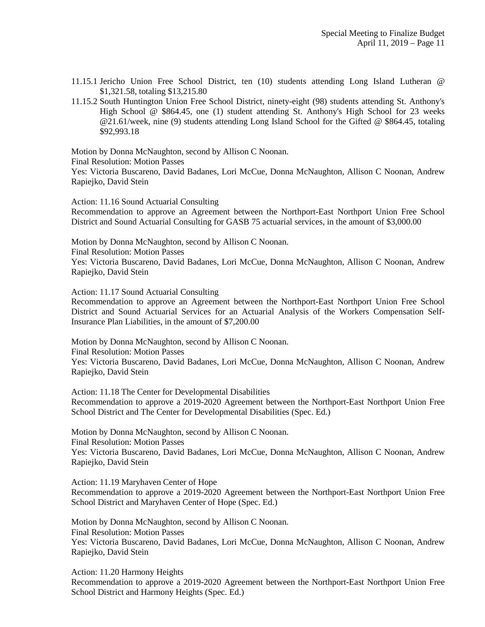- 11.15.1 Jericho Union Free School District, ten (10) students attending Long Island Lutheran @ \$1,321.58, totaling \$13,215.80
- 11.15.2 South Huntington Union Free School District, ninety-eight (98) students attending St. Anthony's High School @ \$864.45, one (1) student attending St. Anthony's High School for 23 weeks @21.61/week, nine (9) students attending Long Island School for the Gifted @ \$864.45, totaling \$92,993.18

Motion by Donna McNaughton, second by Allison C Noonan. Final Resolution: Motion Passes Yes: Victoria Buscareno, David Badanes, Lori McCue, Donna McNaughton, Allison C Noonan, Andrew Rapiejko, David Stein

Action: 11.16 Sound Actuarial Consulting

Recommendation to approve an Agreement between the Northport-East Northport Union Free School District and Sound Actuarial Consulting for GASB 75 actuarial services, in the amount of \$3,000.00

Motion by Donna McNaughton, second by Allison C Noonan. Final Resolution: Motion Passes Yes: Victoria Buscareno, David Badanes, Lori McCue, Donna McNaughton, Allison C Noonan, Andrew Rapiejko, David Stein

Action: 11.17 Sound Actuarial Consulting

Recommendation to approve an Agreement between the Northport-East Northport Union Free School District and Sound Actuarial Services for an Actuarial Analysis of the Workers Compensation Self-Insurance Plan Liabilities, in the amount of \$7,200.00

Motion by Donna McNaughton, second by Allison C Noonan.

Final Resolution: Motion Passes

Yes: Victoria Buscareno, David Badanes, Lori McCue, Donna McNaughton, Allison C Noonan, Andrew Rapiejko, David Stein

Action: 11.18 The Center for Developmental Disabilities Recommendation to approve a 2019-2020 Agreement between the Northport-East Northport Union Free School District and The Center for Developmental Disabilities (Spec. Ed.)

Motion by Donna McNaughton, second by Allison C Noonan. Final Resolution: Motion Passes

Yes: Victoria Buscareno, David Badanes, Lori McCue, Donna McNaughton, Allison C Noonan, Andrew Rapiejko, David Stein

Action: 11.19 Maryhaven Center of Hope Recommendation to approve a 2019-2020 Agreement between the Northport-East Northport Union Free School District and Maryhaven Center of Hope (Spec. Ed.)

Motion by Donna McNaughton, second by Allison C Noonan. Final Resolution: Motion Passes Yes: Victoria Buscareno, David Badanes, Lori McCue, Donna McNaughton, Allison C Noonan, Andrew Rapiejko, David Stein

Action: 11.20 Harmony Heights Recommendation to approve a 2019-2020 Agreement between the Northport-East Northport Union Free School District and Harmony Heights (Spec. Ed.)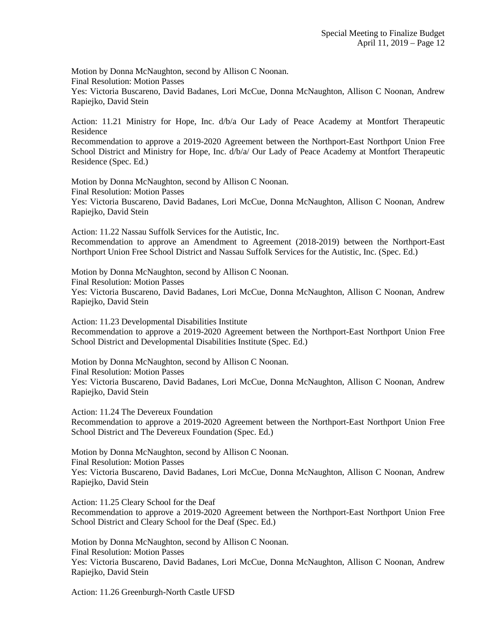Motion by Donna McNaughton, second by Allison C Noonan. Final Resolution: Motion Passes Yes: Victoria Buscareno, David Badanes, Lori McCue, Donna McNaughton, Allison C Noonan, Andrew Rapiejko, David Stein

Action: 11.21 Ministry for Hope, Inc. d/b/a Our Lady of Peace Academy at Montfort Therapeutic Residence

Recommendation to approve a 2019-2020 Agreement between the Northport-East Northport Union Free School District and Ministry for Hope, Inc. d/b/a/ Our Lady of Peace Academy at Montfort Therapeutic Residence (Spec. Ed.)

Motion by Donna McNaughton, second by Allison C Noonan. Final Resolution: Motion Passes Yes: Victoria Buscareno, David Badanes, Lori McCue, Donna McNaughton, Allison C Noonan, Andrew Rapiejko, David Stein

Action: 11.22 Nassau Suffolk Services for the Autistic, Inc. Recommendation to approve an Amendment to Agreement (2018-2019) between the Northport-East Northport Union Free School District and Nassau Suffolk Services for the Autistic, Inc. (Spec. Ed.)

Motion by Donna McNaughton, second by Allison C Noonan. Final Resolution: Motion Passes Yes: Victoria Buscareno, David Badanes, Lori McCue, Donna McNaughton, Allison C Noonan, Andrew Rapiejko, David Stein

Action: 11.23 Developmental Disabilities Institute Recommendation to approve a 2019-2020 Agreement between the Northport-East Northport Union Free School District and Developmental Disabilities Institute (Spec. Ed.)

Motion by Donna McNaughton, second by Allison C Noonan. Final Resolution: Motion Passes Yes: Victoria Buscareno, David Badanes, Lori McCue, Donna McNaughton, Allison C Noonan, Andrew Rapiejko, David Stein

Action: 11.24 The Devereux Foundation Recommendation to approve a 2019-2020 Agreement between the Northport-East Northport Union Free School District and The Devereux Foundation (Spec. Ed.)

Motion by Donna McNaughton, second by Allison C Noonan. Final Resolution: Motion Passes Yes: Victoria Buscareno, David Badanes, Lori McCue, Donna McNaughton, Allison C Noonan, Andrew Rapiejko, David Stein

Action: 11.25 Cleary School for the Deaf Recommendation to approve a 2019-2020 Agreement between the Northport-East Northport Union Free School District and Cleary School for the Deaf (Spec. Ed.)

Motion by Donna McNaughton, second by Allison C Noonan. Final Resolution: Motion Passes Yes: Victoria Buscareno, David Badanes, Lori McCue, Donna McNaughton, Allison C Noonan, Andrew Rapiejko, David Stein

Action: 11.26 Greenburgh-North Castle UFSD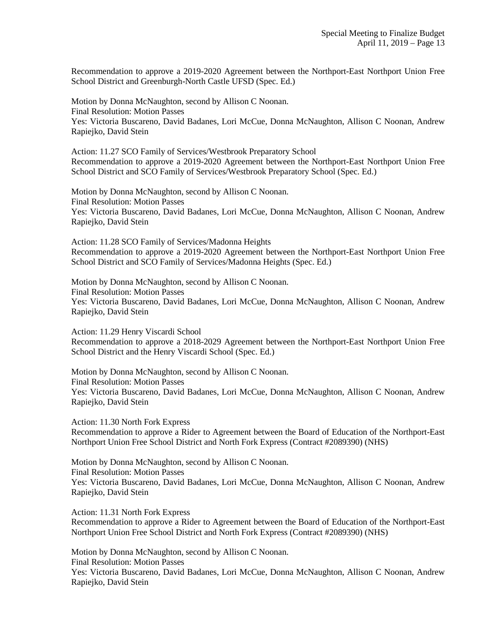Recommendation to approve a 2019-2020 Agreement between the Northport-East Northport Union Free School District and Greenburgh-North Castle UFSD (Spec. Ed.)

Motion by Donna McNaughton, second by Allison C Noonan. Final Resolution: Motion Passes Yes: Victoria Buscareno, David Badanes, Lori McCue, Donna McNaughton, Allison C Noonan, Andrew Rapiejko, David Stein

Action: 11.27 SCO Family of Services/Westbrook Preparatory School Recommendation to approve a 2019-2020 Agreement between the Northport-East Northport Union Free School District and SCO Family of Services/Westbrook Preparatory School (Spec. Ed.)

Motion by Donna McNaughton, second by Allison C Noonan. Final Resolution: Motion Passes Yes: Victoria Buscareno, David Badanes, Lori McCue, Donna McNaughton, Allison C Noonan, Andrew Rapiejko, David Stein

Action: 11.28 SCO Family of Services/Madonna Heights Recommendation to approve a 2019-2020 Agreement between the Northport-East Northport Union Free School District and SCO Family of Services/Madonna Heights (Spec. Ed.)

Motion by Donna McNaughton, second by Allison C Noonan. Final Resolution: Motion Passes Yes: Victoria Buscareno, David Badanes, Lori McCue, Donna McNaughton, Allison C Noonan, Andrew Rapiejko, David Stein

Action: 11.29 Henry Viscardi School Recommendation to approve a 2018-2029 Agreement between the Northport-East Northport Union Free School District and the Henry Viscardi School (Spec. Ed.)

Motion by Donna McNaughton, second by Allison C Noonan. Final Resolution: Motion Passes Yes: Victoria Buscareno, David Badanes, Lori McCue, Donna McNaughton, Allison C Noonan, Andrew Rapiejko, David Stein

Action: 11.30 North Fork Express Recommendation to approve a Rider to Agreement between the Board of Education of the Northport-East Northport Union Free School District and North Fork Express (Contract #2089390) (NHS)

Motion by Donna McNaughton, second by Allison C Noonan. Final Resolution: Motion Passes Yes: Victoria Buscareno, David Badanes, Lori McCue, Donna McNaughton, Allison C Noonan, Andrew Rapiejko, David Stein

Action: 11.31 North Fork Express

Recommendation to approve a Rider to Agreement between the Board of Education of the Northport-East Northport Union Free School District and North Fork Express (Contract #2089390) (NHS)

Motion by Donna McNaughton, second by Allison C Noonan. Final Resolution: Motion Passes Yes: Victoria Buscareno, David Badanes, Lori McCue, Donna McNaughton, Allison C Noonan, Andrew Rapiejko, David Stein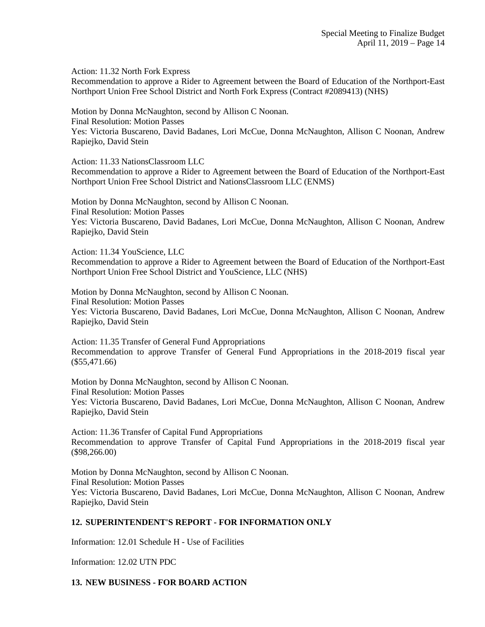Action: 11.32 North Fork Express

Recommendation to approve a Rider to Agreement between the Board of Education of the Northport-East Northport Union Free School District and North Fork Express (Contract #2089413) (NHS)

Motion by Donna McNaughton, second by Allison C Noonan. Final Resolution: Motion Passes Yes: Victoria Buscareno, David Badanes, Lori McCue, Donna McNaughton, Allison C Noonan, Andrew Rapiejko, David Stein

Action: 11.33 NationsClassroom LLC

Recommendation to approve a Rider to Agreement between the Board of Education of the Northport-East Northport Union Free School District and NationsClassroom LLC (ENMS)

Motion by Donna McNaughton, second by Allison C Noonan. Final Resolution: Motion Passes Yes: Victoria Buscareno, David Badanes, Lori McCue, Donna McNaughton, Allison C Noonan, Andrew Rapiejko, David Stein

Action: 11.34 YouScience, LLC

Recommendation to approve a Rider to Agreement between the Board of Education of the Northport-East Northport Union Free School District and YouScience, LLC (NHS)

Motion by Donna McNaughton, second by Allison C Noonan. Final Resolution: Motion Passes Yes: Victoria Buscareno, David Badanes, Lori McCue, Donna McNaughton, Allison C Noonan, Andrew Rapiejko, David Stein

Action: 11.35 Transfer of General Fund Appropriations Recommendation to approve Transfer of General Fund Appropriations in the 2018-2019 fiscal year (\$55,471.66)

Motion by Donna McNaughton, second by Allison C Noonan. Final Resolution: Motion Passes Yes: Victoria Buscareno, David Badanes, Lori McCue, Donna McNaughton, Allison C Noonan, Andrew Rapiejko, David Stein

Action: 11.36 Transfer of Capital Fund Appropriations Recommendation to approve Transfer of Capital Fund Appropriations in the 2018-2019 fiscal year (\$98,266.00)

Motion by Donna McNaughton, second by Allison C Noonan. Final Resolution: Motion Passes Yes: Victoria Buscareno, David Badanes, Lori McCue, Donna McNaughton, Allison C Noonan, Andrew Rapiejko, David Stein

### **12. SUPERINTENDENT'S REPORT - FOR INFORMATION ONLY**

Information: 12.01 Schedule H - Use of Facilities

Information: 12.02 UTN PDC

### **13. NEW BUSINESS - FOR BOARD ACTION**